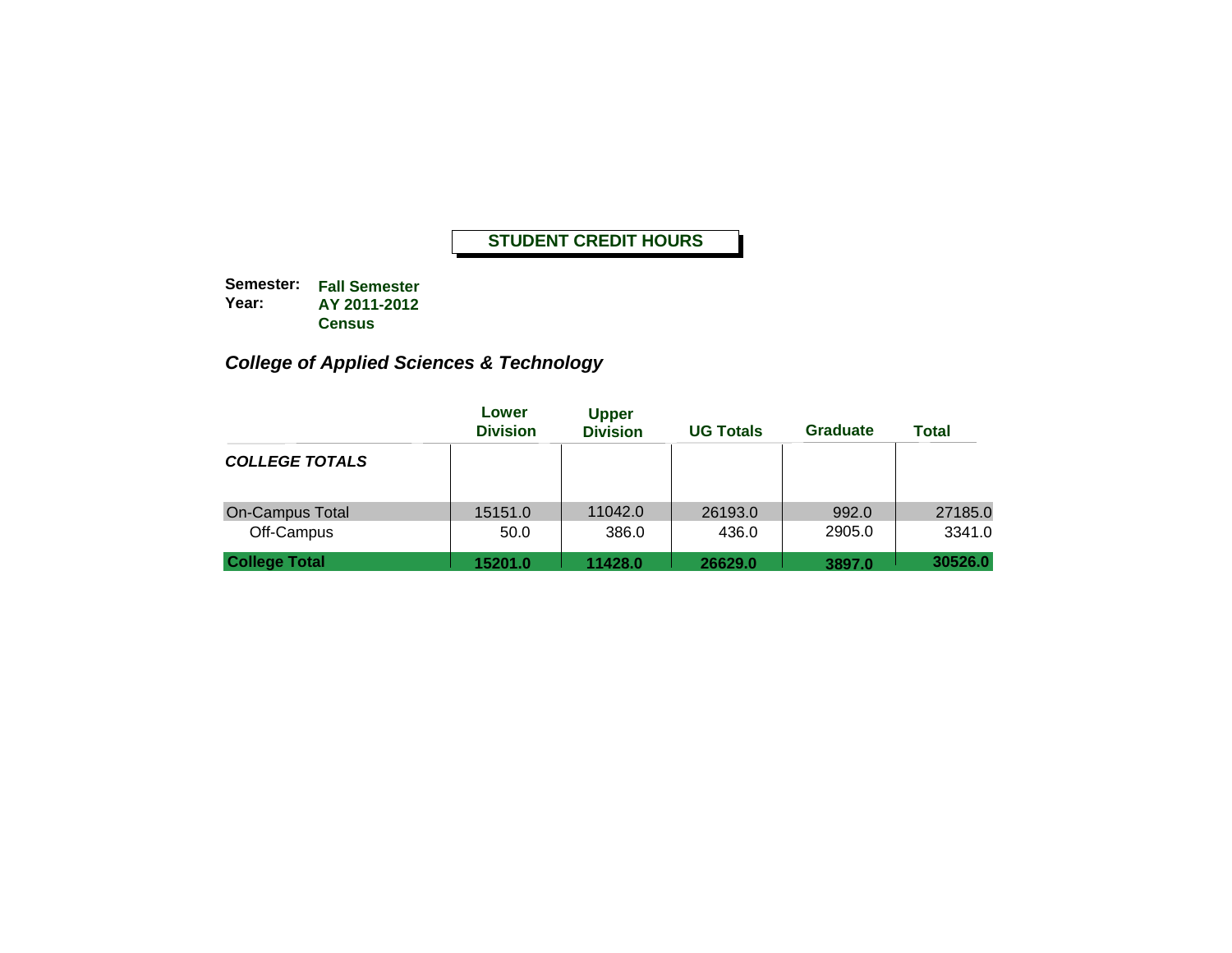**Semester: Fall Semester Year: AY 2011-2012 Census**

# *College of Applied Sciences & Technology*

|                                      | Lower<br><b>Division</b> | <b>Upper</b><br><b>Division</b> | <b>UG Totals</b> | <b>Graduate</b> | <b>Total</b>      |
|--------------------------------------|--------------------------|---------------------------------|------------------|-----------------|-------------------|
| <b>COLLEGE TOTALS</b>                |                          |                                 |                  |                 |                   |
| <b>On-Campus Total</b><br>Off-Campus | 15151.0<br>50.0          | 11042.0<br>386.0                | 26193.0<br>436.0 | 992.0<br>2905.0 | 27185.0<br>3341.0 |
| <b>College Total</b>                 | 15201.0                  | 11428.0                         | 26629.0          | 3897.0          | 30526.0           |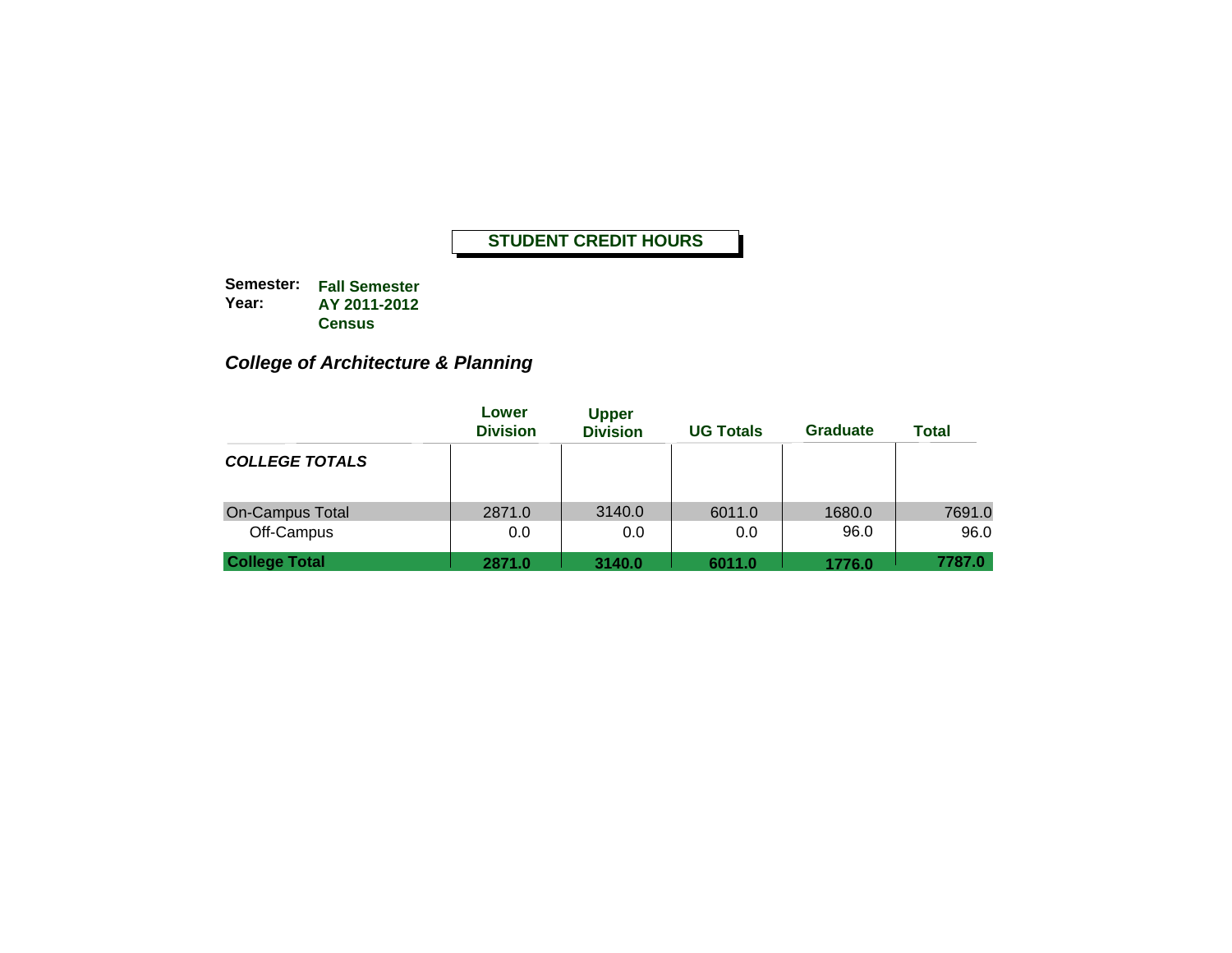**Semester: Fall Semester Year: AY 2011-2012 Census**

# *College of Architecture & Planning*

|                                      | Lower<br><b>Division</b> | <b>Upper</b><br><b>Division</b> | <b>UG Totals</b> | <b>Graduate</b> | <b>Total</b>   |
|--------------------------------------|--------------------------|---------------------------------|------------------|-----------------|----------------|
| <b>COLLEGE TOTALS</b>                |                          |                                 |                  |                 |                |
| <b>On-Campus Total</b><br>Off-Campus | 2871.0<br>0.0            | 3140.0<br>0.0                   | 6011.0<br>0.0    | 1680.0<br>96.0  | 7691.0<br>96.0 |
| <b>College Total</b>                 | 2871.0                   | 3140.0                          | 6011.0           | 1776.0          | 7787.0         |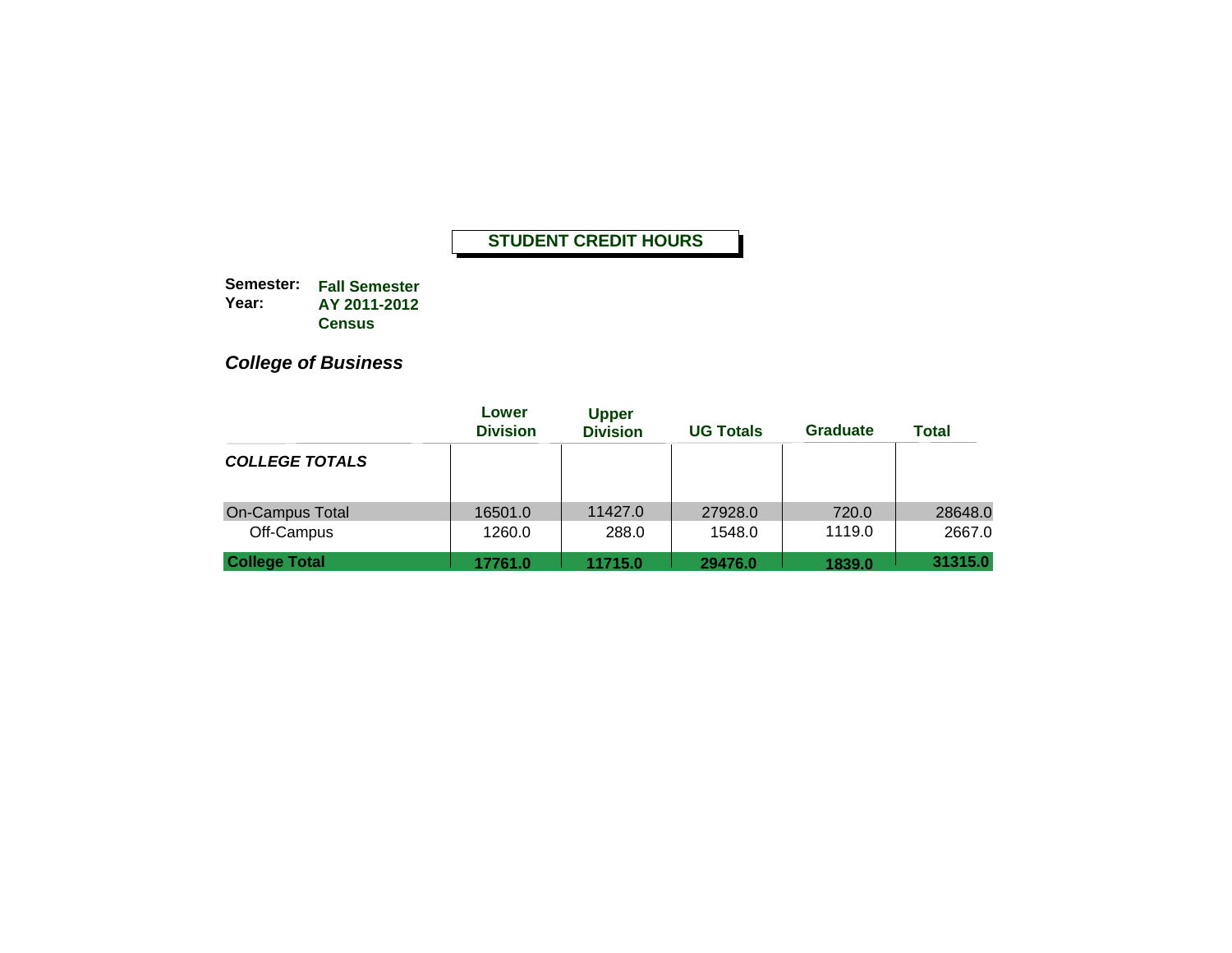**Semester: Fall Semester Year: AY 2011-2012 Census**

*College of Business*

|                                      | Lower<br><b>Division</b> | <b>Upper</b><br><b>Division</b> | <b>UG Totals</b>  | <b>Graduate</b> | <b>Total</b>      |
|--------------------------------------|--------------------------|---------------------------------|-------------------|-----------------|-------------------|
| <b>COLLEGE TOTALS</b>                |                          |                                 |                   |                 |                   |
| <b>On-Campus Total</b><br>Off-Campus | 16501.0<br>1260.0        | 11427.0<br>288.0                | 27928.0<br>1548.0 | 720.0<br>1119.0 | 28648.0<br>2667.0 |
| <b>College Total</b>                 | 17761.0                  | 11715.0                         | 29476.0           | 1839.0          | 31315.0           |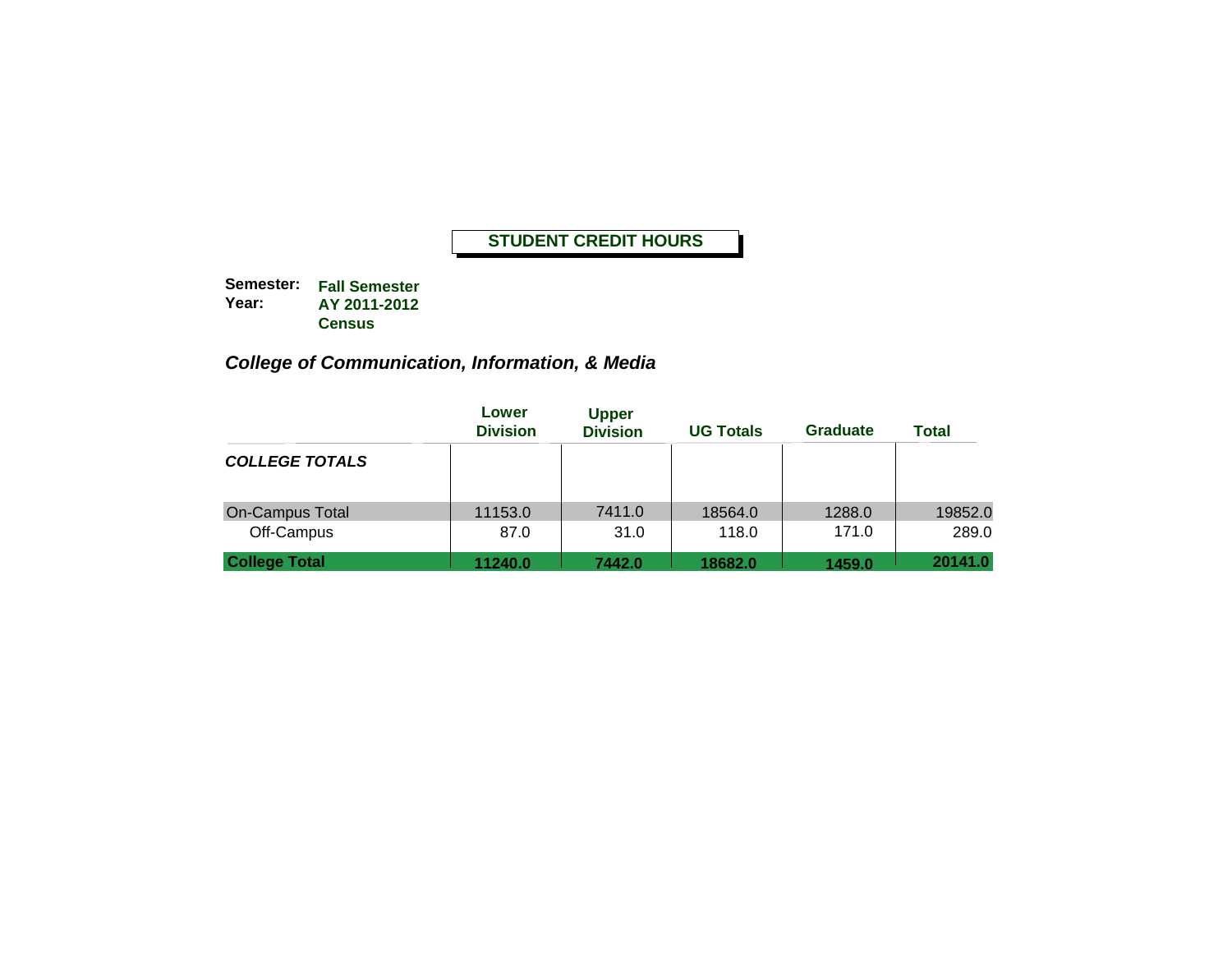**Semester: Fall Semester Year: AY 2011-2012 Census**

# *College of Communication, Information, & Media*

|                                      | Lower<br><b>Division</b> | <b>Upper</b><br><b>Division</b> | <b>UG Totals</b> | <b>Graduate</b> | <b>Total</b>     |
|--------------------------------------|--------------------------|---------------------------------|------------------|-----------------|------------------|
| <b>COLLEGE TOTALS</b>                |                          |                                 |                  |                 |                  |
| <b>On-Campus Total</b><br>Off-Campus | 11153.0<br>87.0          | 7411.0<br>31.0                  | 18564.0<br>118.0 | 1288.0<br>171.0 | 19852.0<br>289.0 |
| <b>College Total</b>                 | 11240.0                  | 7442.0                          | 18682.0          | 1459.0          | 20141.0          |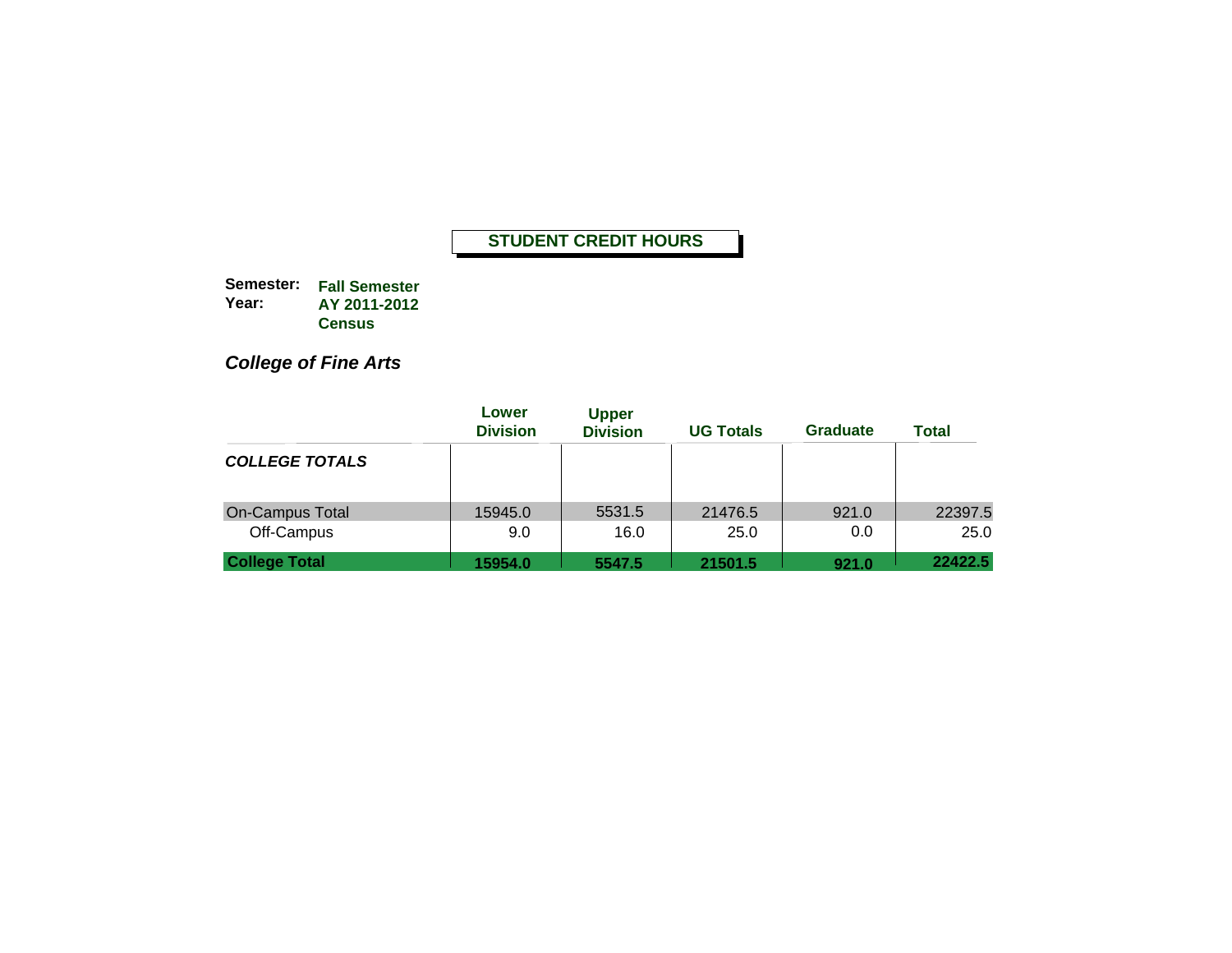**Semester: Fall Semester Year: AY 2011-2012 Census**

*College of Fine Arts*

|                                      | Lower<br><b>Division</b> | <b>Upper</b><br><b>Division</b> | <b>UG Totals</b> | <b>Graduate</b> | <b>Total</b>    |
|--------------------------------------|--------------------------|---------------------------------|------------------|-----------------|-----------------|
| <b>COLLEGE TOTALS</b>                |                          |                                 |                  |                 |                 |
| <b>On-Campus Total</b><br>Off-Campus | 15945.0<br>9.0           | 5531.5<br>16.0                  | 21476.5<br>25.0  | 921.0<br>0.0    | 22397.5<br>25.0 |
| <b>College Total</b>                 | 15954.0                  | 5547.5                          | 21501.5          | 921.0           | 22422.5         |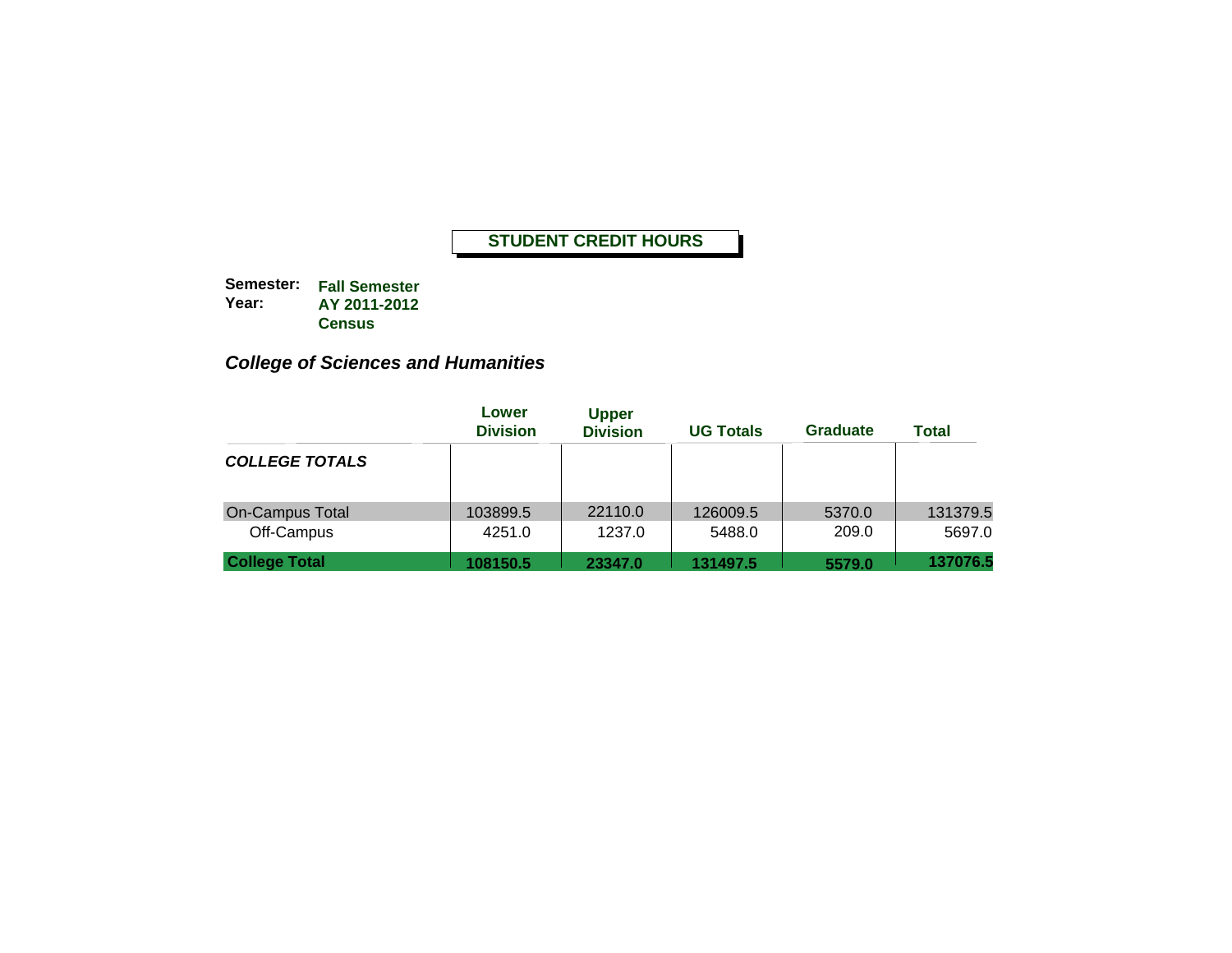**Semester: Fall Semester Year: AY 2011-2012 Census**

# *College of Sciences and Humanities*

|                                      | Lower<br><b>Division</b> | <b>Upper</b><br><b>Division</b> | <b>UG Totals</b>   | Graduate        | Total              |
|--------------------------------------|--------------------------|---------------------------------|--------------------|-----------------|--------------------|
| <b>COLLEGE TOTALS</b>                |                          |                                 |                    |                 |                    |
| <b>On-Campus Total</b><br>Off-Campus | 103899.5<br>4251.0       | 22110.0<br>1237.0               | 126009.5<br>5488.0 | 5370.0<br>209.0 | 131379.5<br>5697.0 |
| <b>College Total</b>                 | 108150.5                 | 23347.0                         | 131497.5           | 5579.0          | 137076.5           |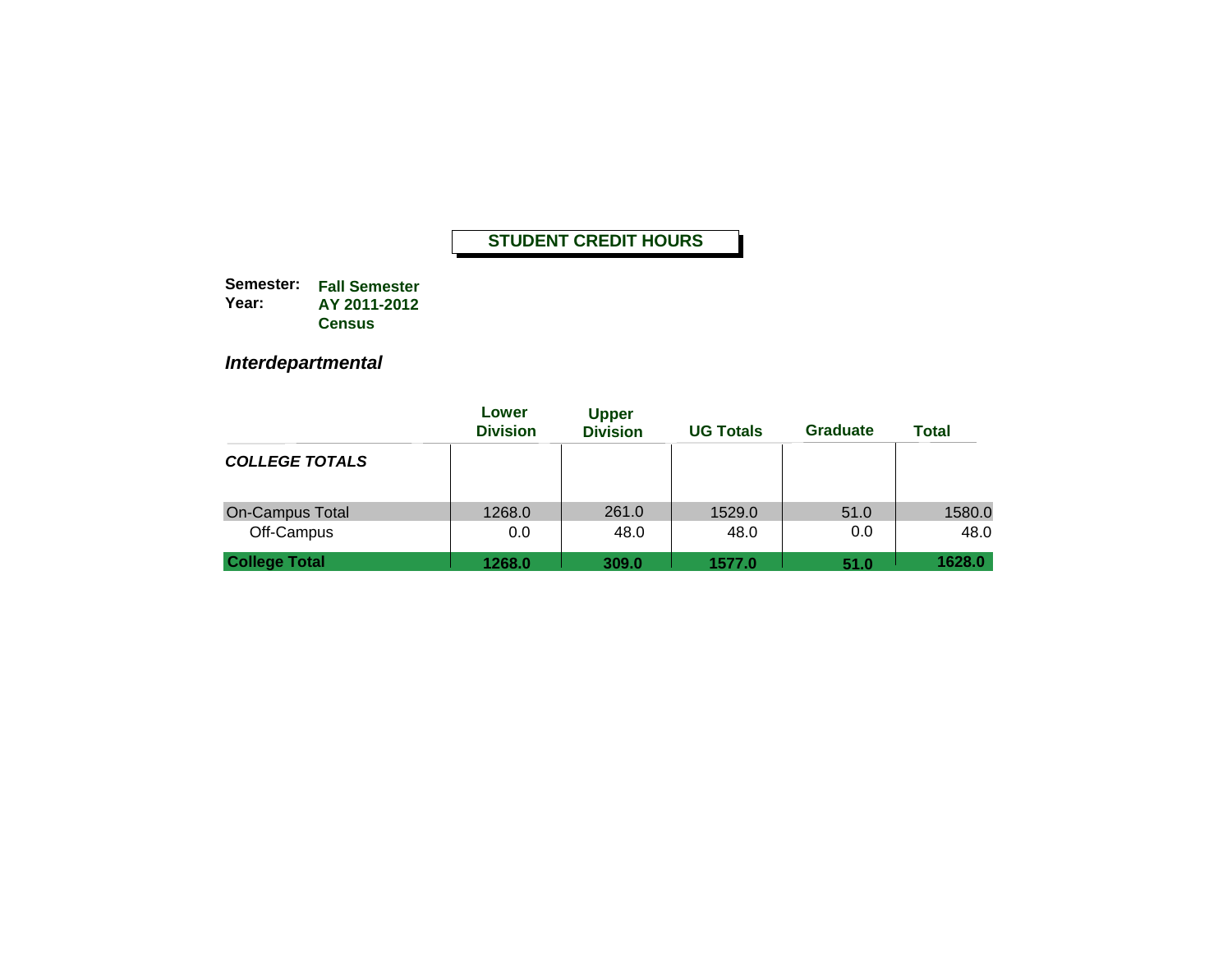**Semester: Fall Semester Year: AY 2011-2012 Census**

*Interdepartmental*

|                                      | Lower<br><b>Division</b> | <b>Upper</b><br><b>Division</b> | <b>UG Totals</b> | <b>Graduate</b> | <b>Total</b>   |
|--------------------------------------|--------------------------|---------------------------------|------------------|-----------------|----------------|
| <b>COLLEGE TOTALS</b>                |                          |                                 |                  |                 |                |
| <b>On-Campus Total</b><br>Off-Campus | 1268.0<br>0.0            | 261.0<br>48.0                   | 1529.0<br>48.0   | 51.0<br>0.0     | 1580.0<br>48.0 |
| <b>College Total</b>                 | 1268.0                   | 309.0                           | 1577.0           | 51.0            | 1628.0         |